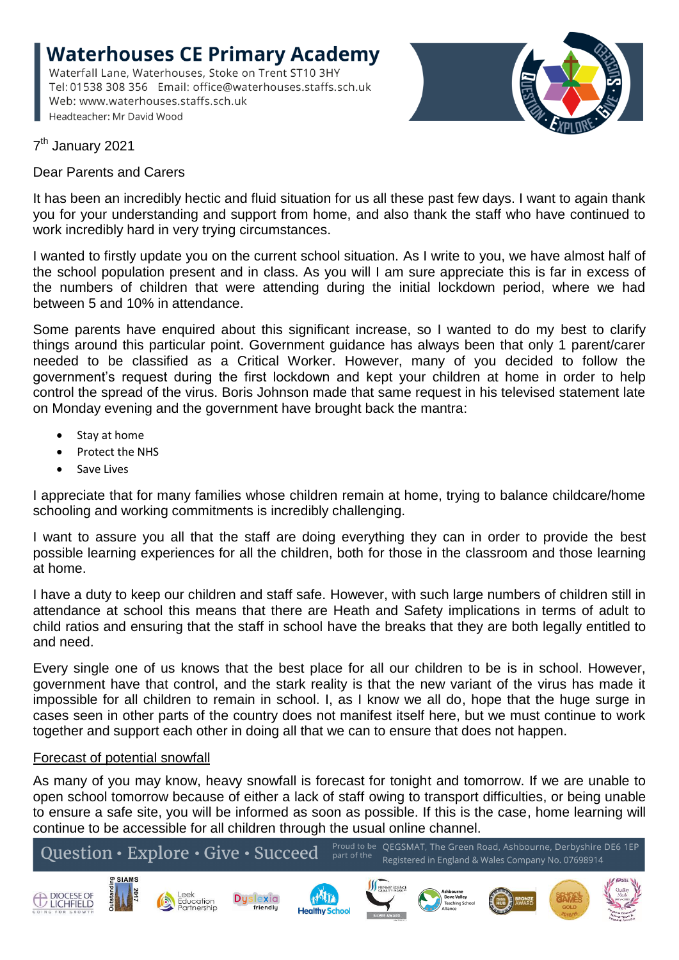**Waterhouses CE Primary Academy** Waterfall Lane, Waterhouses, Stoke on Trent ST10 3HY Tel: 01538 308 356 Email: office@waterhouses.staffs.sch.uk Web: www.waterhouses.staffs.sch.uk Headteacher: Mr David Wood



7<sup>th</sup> January 2021

Dear Parents and Carers

It has been an incredibly hectic and fluid situation for us all these past few days. I want to again thank you for your understanding and support from home, and also thank the staff who have continued to work incredibly hard in very trying circumstances.

I wanted to firstly update you on the current school situation. As I write to you, we have almost half of the school population present and in class. As you will I am sure appreciate this is far in excess of the numbers of children that were attending during the initial lockdown period, where we had between 5 and 10% in attendance.

Some parents have enquired about this significant increase, so I wanted to do my best to clarify things around this particular point. Government guidance has always been that only 1 parent/carer needed to be classified as a Critical Worker. However, many of you decided to follow the government's request during the first lockdown and kept your children at home in order to help control the spread of the virus. Boris Johnson made that same request in his televised statement late on Monday evening and the government have brought back the mantra:

- Stay at home
- Protect the NHS
- Save Lives

I appreciate that for many families whose children remain at home, trying to balance childcare/home schooling and working commitments is incredibly challenging.

I want to assure you all that the staff are doing everything they can in order to provide the best possible learning experiences for all the children, both for those in the classroom and those learning at home.

I have a duty to keep our children and staff safe. However, with such large numbers of children still in attendance at school this means that there are Heath and Safety implications in terms of adult to child ratios and ensuring that the staff in school have the breaks that they are both legally entitled to and need.

Every single one of us knows that the best place for all our children to be is in school. However, government have that control, and the stark reality is that the new variant of the virus has made it impossible for all children to remain in school. I, as I know we all do, hope that the huge surge in cases seen in other parts of the country does not manifest itself here, but we must continue to work together and support each other in doing all that we can to ensure that does not happen.

## Forecast of potential snowfall

As many of you may know, heavy snowfall is forecast for tonight and tomorrow. If we are unable to open school tomorrow because of either a lack of staff owing to transport difficulties, or being unable to ensure a safe site, you will be informed as soon as possible. If this is the case, home learning will continue to be accessible for all children through the usual online channel.